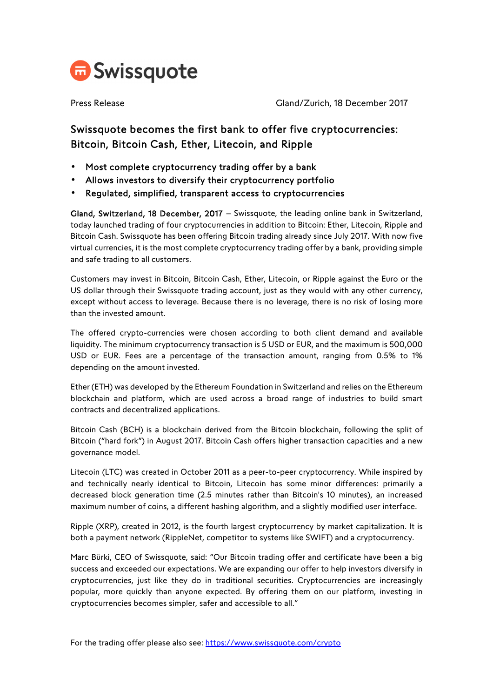

Press Release Gland/Zurich, 18 December 2017

## Swissquote becomes the first bank to offer five cryptocurrencies: Bitcoin, Bitcoin Cash, Ether, Litecoin, and Ripple

- Most complete cryptocurrency trading offer by a bank
- Allows investors to diversify their cryptocurrency portfolio
- Regulated, simplified, transparent access to cryptocurrencies

Gland, Switzerland, 18 December, 2017 – Swissquote, the leading online bank in Switzerland, today launched trading of four cryptocurrencies in addition to Bitcoin: Ether, Litecoin, Ripple and Bitcoin Cash. Swissquote has been offering Bitcoin trading already since July 2017. With now five virtual currencies, it is the most complete cryptocurrency trading offer by a bank, providing simple and safe trading to all customers.

Customers may invest in Bitcoin, Bitcoin Cash, Ether, Litecoin, or Ripple against the Euro or the US dollar through their Swissquote trading account, just as they would with any other currency, except without access to leverage. Because there is no leverage, there is no risk of losing more than the invested amount.

The offered crypto-currencies were chosen according to both client demand and available liquidity. The minimum cryptocurrency transaction is 5 USD or EUR, and the maximum is 500,000 USD or EUR. Fees are a percentage of the transaction amount, ranging from 0.5% to 1% depending on the amount invested.

Ether (ETH) was developed by the Ethereum Foundation in Switzerland and relies on the Ethereum blockchain and platform, which are used across a broad range of industries to build smart contracts and decentralized applications.

Bitcoin Cash (BCH) is a blockchain derived from the Bitcoin blockchain, following the split of Bitcoin ("hard fork") in August 2017. Bitcoin Cash offers higher transaction capacities and a new governance model.

Litecoin (LTC) was created in October 2011 as a peer-to-peer cryptocurrency. While inspired by and technically nearly identical to Bitcoin, Litecoin has some minor differences: primarily a decreased block generation time (2.5 minutes rather than Bitcoin's 10 minutes), an increased maximum number of coins, a different hashing algorithm, and a slightly modified user interface.

Ripple (XRP), created in 2012, is the fourth largest cryptocurrency by market capitalization. It is both a payment network (RippleNet, competitor to systems like SWIFT) and a cryptocurrency.

Marc Bürki, CEO of Swissquote, said: "Our Bitcoin trading offer and certificate have been a big success and exceeded our expectations. We are expanding our offer to help investors diversify in cryptocurrencies, just like they do in traditional securities. Cryptocurrencies are increasingly popular, more quickly than anyone expected. By offering them on our platform, investing in cryptocurrencies becomes simpler, safer and accessible to all."